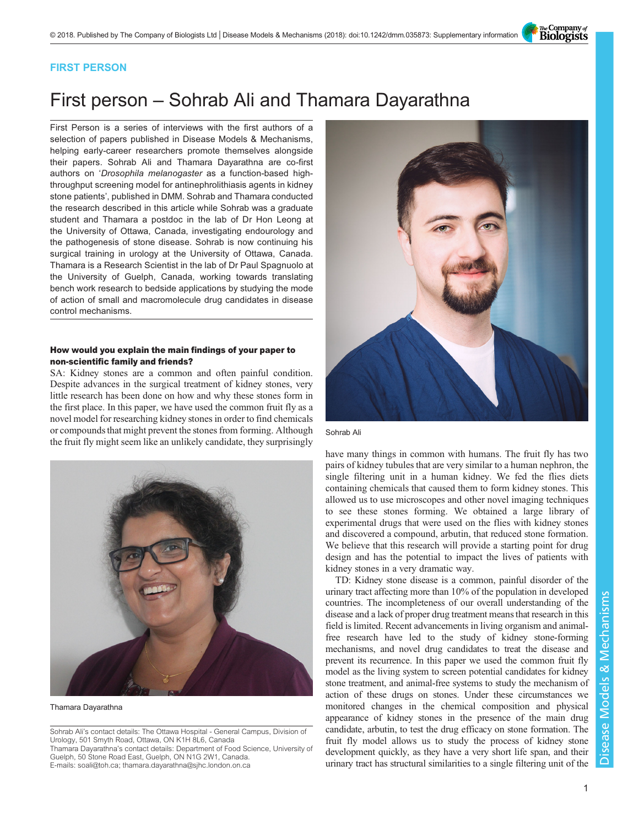The Company of<br>**Biologists** 

### FIRST PERSON

# First person – Sohrab Ali and Thamara Dayarathna

First Person is a series of interviews with the first authors of a selection of papers published in Disease Models & Mechanisms, helping early-career researchers promote themselves alongside their papers. Sohrab Ali and Thamara Dayarathna are co-first authors on 'Drosophila melanogaster [as a function-based high](#page-1-0)[throughput screening model for antinephrolithiasis agents in kidney](#page-1-0) [stone patients](#page-1-0)', published in DMM. Sohrab and Thamara conducted the research described in this article while Sohrab was a graduate student and Thamara a postdoc in the lab of Dr Hon Leong at the University of Ottawa, Canada, investigating endourology and the pathogenesis of stone disease. Sohrab is now continuing his surgical training in urology at the University of Ottawa, Canada. Thamara is a Research Scientist in the lab of Dr Paul Spagnuolo at the University of Guelph, Canada, working towards translating bench work research to bedside applications by studying the mode of action of small and macromolecule drug candidates in disease control mechanisms.

### How would you explain the main findings of your paper to non-scientific family and friends?

SA: Kidney stones are a common and often painful condition. Despite advances in the surgical treatment of kidney stones, very little research has been done on how and why these stones form in the first place. In this paper, we have used the common fruit fly as a novel model for researching kidney stones in order to find chemicals or compounds that might prevent the stones from forming. Although the fruit fly might seem like an unlikely candidate, they surprisingly



Thamara Dayarathna

Sohrab Ali's contact details: The Ottawa Hospital - General Campus, Division of Urology, 501 Smyth Road, Ottawa, ON K1H 8L6, Canada

Thamara Dayarathna's contact details: Department of Food Science, University of Guelph, 50 Stone Road East, Guelph, ON N1G 2W1, Canada. E-mails: [soali@toh.ca;](mailto:soali@toh.ca) [thamara.dayarathna@sjhc.london.on.ca](mailto:thamara.dayarathna@sjhc.london.on.ca)



Sohrab Ali

have many things in common with humans. The fruit fly has two pairs of kidney tubules that are very similar to a human nephron, the single filtering unit in a human kidney. We fed the flies diets containing chemicals that caused them to form kidney stones. This allowed us to use microscopes and other novel imaging techniques to see these stones forming. We obtained a large library of experimental drugs that were used on the flies with kidney stones and discovered a compound, arbutin, that reduced stone formation. We believe that this research will provide a starting point for drug design and has the potential to impact the lives of patients with kidney stones in a very dramatic way.

TD: Kidney stone disease is a common, painful disorder of the urinary tract affecting more than 10% of the population in developed countries. The incompleteness of our overall understanding of the disease and a lack of proper drug treatment means that research in this field is limited. Recent advancements in living organism and animalfree research have led to the study of kidney stone-forming mechanisms, and novel drug candidates to treat the disease and prevent its recurrence. In this paper we used the common fruit fly model as the living system to screen potential candidates for kidney stone treatment, and animal-free systems to study the mechanism of action of these drugs on stones. Under these circumstances we monitored changes in the chemical composition and physical appearance of kidney stones in the presence of the main drug candidate, arbutin, to test the drug efficacy on stone formation. The fruit fly model allows us to study the process of kidney stone development quickly, as they have a very short life span, and their urinary tract has structural similarities to a single filtering unit of the